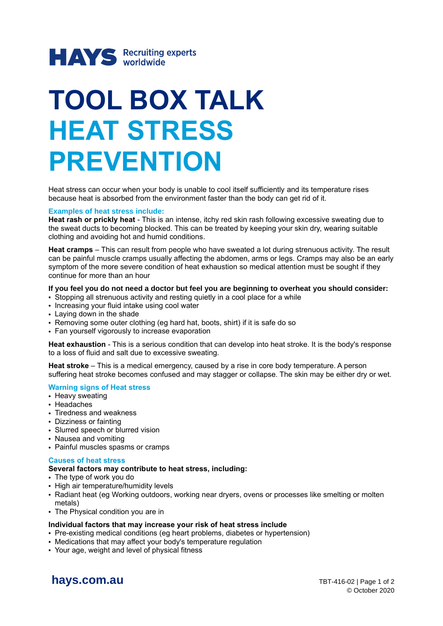

# **TOOL BOX TALK HEAT STRESS PREVENTION**

Heat stress can occur when your body is unable to cool itself sufficiently and its temperature rises because heat is absorbed from the environment faster than the body can get rid of it.

# **Examples of heat stress include:**

**Heat rash or prickly heat** - This is an intense, itchy red skin rash following excessive sweating due to the sweat ducts to becoming blocked. This can be treated by keeping your skin dry, wearing suitable clothing and avoiding hot and humid conditions.

**Heat cramps** – This can result from people who have sweated a lot during strenuous activity. The result can be painful muscle cramps usually affecting the abdomen, arms or legs. Cramps may also be an early symptom of the more severe condition of heat exhaustion so medical attention must be sought if they continue for more than an hour

# **If you feel you do not need a doctor but feel you are beginning to overheat you should consider:**

- Stopping all strenuous activity and resting quietly in a cool place for a while
- Increasing your fluid intake using cool water
- Laying down in the shade
- Removing some outer clothing (eg hard hat, boots, shirt) if it is safe do so
- Fan yourself vigorously to increase evaporation

**Heat exhaustion** - This is a serious condition that can develop into heat stroke. It is the body's response to a loss of fluid and salt due to excessive sweating.

**Heat stroke** – This is a medical emergency, caused by a rise in core body temperature. A person suffering heat stroke becomes confused and may stagger or collapse. The skin may be either dry or wet.

# **Warning signs of Heat stress**

- Heavy sweating
- Headaches
- Tiredness and weakness
- Dizziness or fainting
- Slurred speech or blurred vision
- Nausea and vomiting
- Painful muscles spasms or cramps

# **Causes of heat stress**

# **Several factors may contribute to heat stress, including:**

- The type of work you do
- High air temperature/humidity levels
- Radiant heat (eg Working outdoors, working near dryers, ovens or processes like smelting or molten metals)
- The Physical condition you are in

# **Individual factors that may increase your risk of heat stress include**

- Pre-existing medical conditions (eg heart problems, diabetes or hypertension)
- Medications that may affect your body's temperature regulation
- Your age, weight and level of physical fitness

**[hays.com.au](http://www.hays.com.au/)** TBT-416-02 | Page 1 of 2